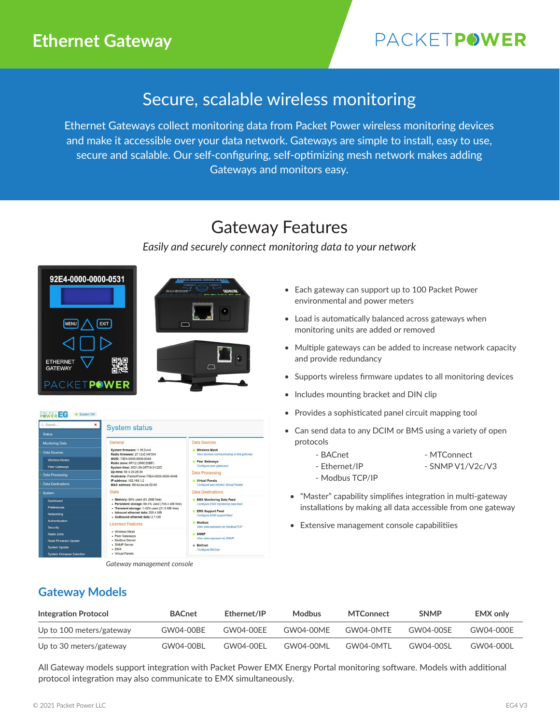## **Ethernet Gateway**

# PACKETPOWER

## Secure, scalable wireless monitoring

Ethernet Gateways collect monitoring data from Packet Power wireless monitoring devices and make it accessible over your data network. Gateways are simple to install, easy to use, secure and scalable. Our self-configuring, self-optimizing mesh network makes adding Gateways and monitors easy.

## Gateway Features

## *Easily and securely connect monitoring data to your network*







*Gateway management console*

- Each gateway can support up to 100 Packet Power environmental and power meters
- Load is automatically balanced across gateways when monitoring units are added or removed
- Multiple gateways can be added to increase network capacity and provide redundancy
- Supports wireless firmware updates to all monitoring devices
- Includes mounting bracket and DIN clip
- Provides a sophisticated panel circuit mapping tool
- Can send data to any DCIM or BMS using a variety of open protocols
	- BACnet MTConnect
	- Ethernet/IP SNMP V1/V2c/V3
	- Modbus TCP/IP
- "Master" capability simplifies integration in multi-gateway installations by making all data accessible from one gateway
- Extensive management console capabilitiies

## **Gateway Models**

| Integration Protocol     | <b>BACnet</b> | Ethernet/IP | <b>Modbus</b> | <b>MTConnect</b> | <b>SNMP</b> | <b>EMX only</b> |
|--------------------------|---------------|-------------|---------------|------------------|-------------|-----------------|
| Up to 100 meters/gateway | GW04-00BE     | GW04-00FF   | GW04-00MF     | GW04-0MTF        | GW04-00SF   | GW04-000F       |
| Up to 30 meters/gateway  | GW04-00BL     | GW04-00EL   | GW04-00ML     | GW04-0MTL        | GW04-00SL   | GW04-000L       |

All Gateway models support integration with Packet Power EMX Energy Portal monitoring software. Models with additional protocol integration may also communicate to EMX simultaneously.